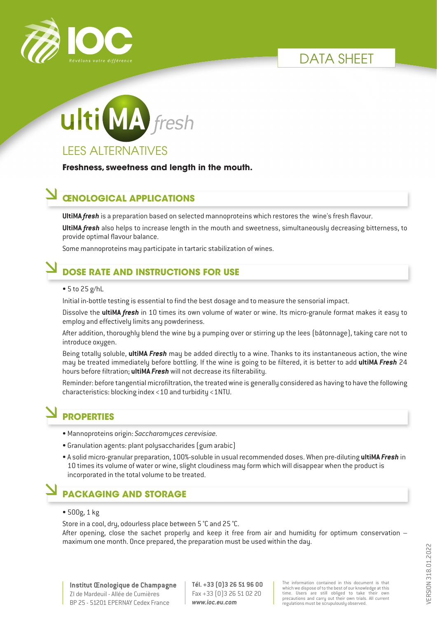





**Freshness, sweetness and length in the mouth.**

#### **ŒNOLOGICAL APPLICATIONS**

**UltiMA** *fresh* is a preparation based on selected mannoproteins which restores the wine's fresh flavour.

**UltiMA** *fresh* also helps to increase length in the mouth and sweetness, simultaneously decreasing bitterness, to provide optimal flavour balance.

Some mannoproteins may participate in tartaric stabilization of wines.

### **DOSE RATE AND INSTRUCTIONS FOR USE**

#### • 5 to 25 g/hL

Initial in-bottle testing is essential to find the best dosage and to measure the sensorial impact.

Dissolve the **ultiMA** *fresh* in 10 times its own volume of water or wine. Its micro-granule format makes it easy to employ and effectively limits any powderiness.

After addition, thoroughly blend the wine by a pumping over or stirring up the lees (bâtonnage), taking care not to introduce oxygen.

Being totally soluble, **ultiMA** *Fresh* may be added directly to a wine. Thanks to its instantaneous action, the wine may be treated immediately before bottling. If the wine is going to be filtered, it is better to add **ultiMA** *Fresh* 24 hours before filtration; **ultiMA** *Fresh* will not decrease its filterability.

Reminder: before tangential microfiltration, the treated wine is generally considered as having to have the following characteristics: blocking index <10 and turbidity <1NTU.

## **PROPERTIES**

- Mannoproteins origin: *Saccharomyces cerevisiae.*
- Granulation agents: plant polysaccharides (gum arabic)
- A solid micro-granular preparation, 100%-soluble in usual recommended doses. When pre-diluting **ultiMA** *Fresh* in 10 times its volume of water or wine, slight cloudiness may form which will disappear when the product is incorporated in the total volume to be treated.

#### **PACKAGING AND STORAGE**

• 500g, 1 kg

Store in a cool, dry, odourless place between 5 °C and 25 °C.

After opening, close the sachet properly and keep it free from air and humidity for optimum conservation – maximum one month. Once prepared, the preparation must be used within the day.

**Tél. +33 (0)3 26 51 96 00** Fax +33 (0)3 26 51 02 20 *www.ioc.eu.com*